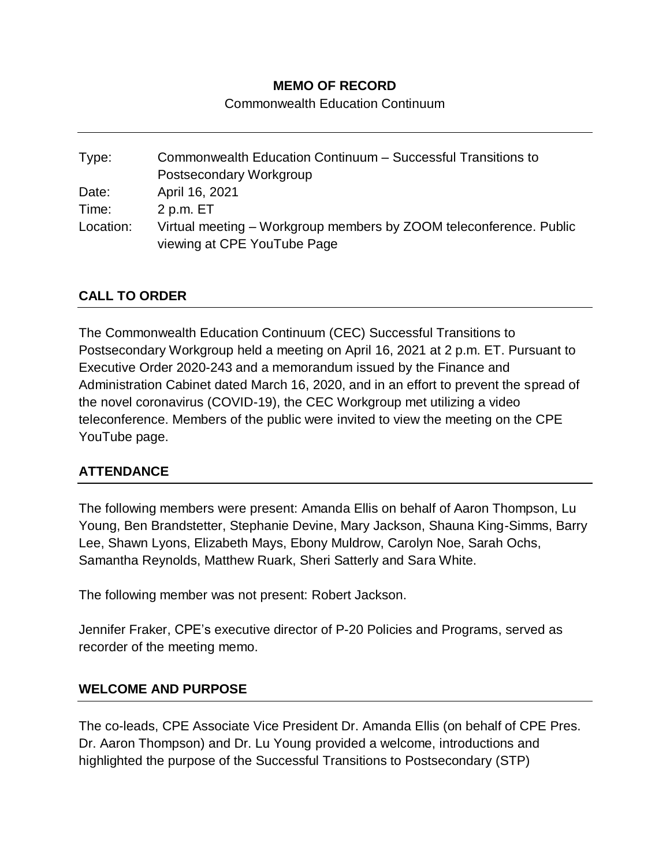#### **MEMO OF RECORD**

Commonwealth Education Continuum

Type: Commonwealth Education Continuum – Successful Transitions to Postsecondary Workgroup Date: April 16, 2021 Time: 2 p.m. ET Location: Virtual meeting – Workgroup members by ZOOM teleconference. Public viewing at CPE YouTube Page

# **CALL TO ORDER**

The Commonwealth Education Continuum (CEC) Successful Transitions to Postsecondary Workgroup held a meeting on April 16, 2021 at 2 p.m. ET. Pursuant to Executive Order 2020-243 and a memorandum issued by the Finance and Administration Cabinet dated March 16, 2020, and in an effort to prevent the spread of the novel coronavirus (COVID-19), the CEC Workgroup met utilizing a video teleconference. Members of the public were invited to view the meeting on the CPE YouTube page.

#### **ATTENDANCE**

The following members were present: Amanda Ellis on behalf of Aaron Thompson, Lu Young, Ben Brandstetter, Stephanie Devine, Mary Jackson, Shauna King-Simms, Barry Lee, Shawn Lyons, Elizabeth Mays, Ebony Muldrow, Carolyn Noe, Sarah Ochs, Samantha Reynolds, Matthew Ruark, Sheri Satterly and Sara White.

The following member was not present: Robert Jackson.

Jennifer Fraker, CPE's executive director of P-20 Policies and Programs, served as recorder of the meeting memo.

#### **WELCOME AND PURPOSE**

The co-leads, CPE Associate Vice President Dr. Amanda Ellis (on behalf of CPE Pres. Dr. Aaron Thompson) and Dr. Lu Young provided a welcome, introductions and highlighted the purpose of the Successful Transitions to Postsecondary (STP)